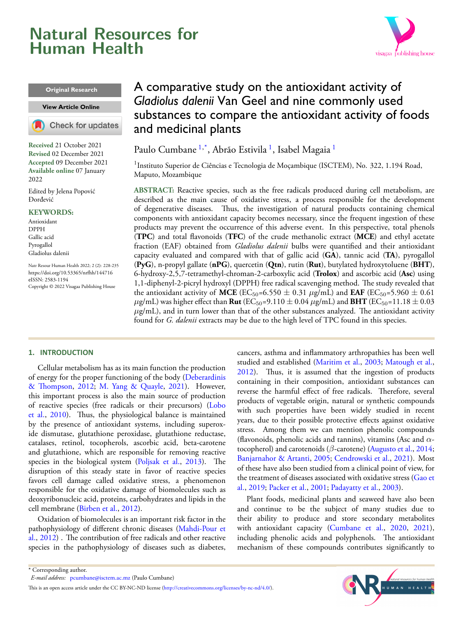# <span id="page-0-1"></span>**Natural Resources for Human Health**



#### **Original Research**

#### **View [Article Online](https://doi.org/10.53365/nrfhh/144716)**

Check for updates

**Received** 21 October 2021 **Revised** 02 December 2021 **Accepted** 09 December 2021 **Available online** 07 January 2022

Edited by Jelena Popović Đorđević

#### **KEYWORDS:**

Antioxidant DPPH Gallic acid Pyrogallol Gladiolus dalenii

Natr Resour Human Health 2022; 2 (2): 228-235 <https://doi.org/10.53365/nrfhh/144716> eISSN: 2583-1194 Copyright © 2022 Visagaa Publishing House

## A comparative study on the antioxidant activity of *Gladiolus dalenii* Van Geel and nine commonly used substances to compare the antioxidant activity of foods and medicinal plants

Paulo Cumbane <sup>[1](#page-0-0),\*</sup>, Abrão Estivila <sup>1</sup>, Isabel Magaia <sup>1</sup>

<span id="page-0-0"></span><sup>1</sup>Instituto Superior de Ciências e Tecnologia de Moçambique (ISCTEM), No. 322, 1.194 Road, Maputo, Mozambique

**ABSTRACT:** Reactive species, such as the free radicals produced during cell metabolism, are described as the main cause of oxidative stress, a process responsible for the development of degenerative diseases. Thus, the investigation of natural products containing chemical components with antioxidant capacity becomes necessary, since the frequent ingestion of these products may prevent the occurrence of this adverse event. In this perspective, total phenols (**TPC**) and total flavonoids (**TFC**) of the crude methanolic extract (**MCE**) and ethyl acetate fraction (EAF) obtained from *Gladiolus dalenii* bulbs were quantified and their antioxidant capacity evaluated and compared with that of gallic acid (**GA**), tannic acid (**TA**), pyrogallol (**PyG**), n-propyl gallate (**nPG**), quercetin (**Qtn**), rutin (**Rut**), butylated hydroxytoluene (**BHT**), 6-hydroxy-2,5,7-tetramethyl-chroman-2-carboxylic acid (**Trolox**) and ascorbic acid (**Asc**) using 1,1-diphenyl-2-picryl hydroxyl (DPPH) free radical scavenging method. The study revealed that the antioxidant activity of MCE (EC<sub>50</sub>=6.550  $\pm$  0.31  $\mu$ g/mL) and EAF (EC<sub>50</sub>=5.960  $\pm$  0.61  $\mu$ g/mL) was higher effect than **Rut** (EC<sub>50</sub>=9.110  $\pm$  0.04  $\mu$ g/mL) and **BHT** (EC<sub>50</sub>=11.18  $\pm$  0.03  $\mu$ g/mL), and in turn lower than that of the other substances analyzed. The antioxidant activity found for *G. dalenii* extracts may be due to the high level of TPC found in this species.

## **1. INTRODUCTION**

Cellular metabolism has as its main function the production of energy for the proper functioning of the body [\(Deberardinis](#page-6-0) [& Thompson](#page-6-0), [2012;](#page-6-0) [M. Yang & Quayle,](#page-6-1) [2021\)](#page-6-1). However, this important process is also the main source of production of reactive species (free radicals or their precursors) [\(Lobo](#page-6-2) [et al.,](#page-6-2) [2010](#page-6-2)). Thus, the physiological balance is maintained by the presence of antioxidant systems, including superoxide dismutase, glutathione peroxidase, glutathione reductase, catalases, retinol, tocopherols, ascorbic acid, beta-carotene and glutathione, which are responsible for removing reactive species in the biological system [\(Poljsak et al.](#page-6-3), [2013](#page-6-3)). The disruption of this steady state in favor of reactive species favors cell damage called oxidative stress, a phenomenon responsible for the oxidative damage of biomolecules such as deoxyribonucleic acid, proteins, carbohydrates and lipids in the cell membrane([Birben et al.](#page-5-0), [2012](#page-5-0)).

Oxidation of biomolecules is an important risk factor in the pathophysiology of different chronic diseases [\(Mahdi-Pour et](#page-6-4) [al.,](#page-6-4) [2012](#page-6-4)) . The contribution of free radicals and other reactive species in the pathophysiology of diseases such as diabetes, cancers, asthma and inflammatory arthropathies has been well studied and established [\(Maritim et al.](#page-6-5), [2003](#page-6-5); [Matough et al.](#page-6-6), [2012](#page-6-6)). Thus, it is assumed that the ingestion of products containing in their composition, antioxidant substances can reverse the harmful effect of free radicals. Therefore, several products of vegetable origin, natural or synthetic compounds with such properties have been widely studied in recent years, due to their possible protective effects against oxidative stress. Among them we can mention phenolic compounds (flavonoids, phenolic acids and tannins), vitamins (Asc and *α*tocopherol) and carotenoids (*β*-carotene) [\(Augusto et al.,](#page-5-1) [2014](#page-5-1); [Banjarnahor & Artanti](#page-5-2), [2005;](#page-5-2) [Cendrowski et al.](#page-5-3), [2021\)](#page-5-3). Most of these have also been studied from a clinical point of view, for the treatment of diseases associated with oxidative stress [\(Gao et](#page-6-7) [al.,](#page-6-7) [2019;](#page-6-7) [Packer et al.](#page-6-8), [2001;](#page-6-8) [Padayatty et al.,](#page-6-9) [2003\)](#page-6-9).

Plant foods, medicinal plants and seaweed have also been and continue to be the subject of many studies due to their ability to produce and store secondary metabolites with antioxidant capacity [\(Cumbane et al.](#page-5-4), [2020](#page-5-4), [2021\)](#page-5-5), including phenolic acids and polyphenols. The antioxidant mechanism of these compounds contributes significantly to



<sup>\*</sup> Corresponding author.

*E-mail address:* [pcumbane@isctem.ac.mz](mailto:{pcumbane@isctem.ac.mz} ) (Paulo Cumbane)

This is an open access article under the CC BY-NC-ND license(<http://creativecommons.org/licenses/by-nc-nd/4.0/>).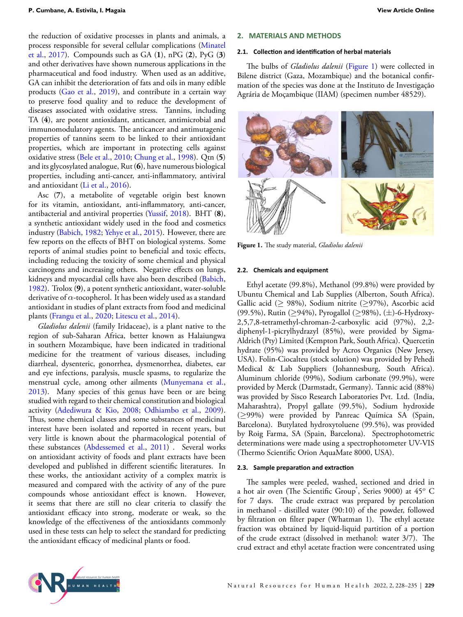the reduction of oxidative processes in plants and animals, a process responsible for several cellular complications [\(Minatel](#page-6-10) [et al.,](#page-6-10) [2017](#page-6-10)). Compounds such as GA (**1**), nPG (**2**), PyG (**3**) and other derivatives have shown numerous applications in the pharmaceutical and food industry. When used as an additive, GA can inhibit the deterioration of fats and oils in many edible products [\(Gao et al.,](#page-6-7) [2019](#page-6-7)), and contribute in a certain way to preserve food quality and to reduce the development of diseases associated with oxidative stress. Tannins, including TA (**4**), are potent antioxidant, anticancer, antimicrobial and immunomodulatory agents. The anticancer and antimutagenic properties of tannins seem to be linked to their antioxidant properties, which are important in protecting cells against oxidative stress [\(Bele et al.](#page-5-6), [2010;](#page-5-6) [Chung et al.,](#page-5-7) [1998](#page-5-7)). Qtn (**5**) and its glycosylated analogue, Rut (**6**), have numerous biological properties, including anti-cancer, anti-inflammatory, antiviral and antioxidant [\(Li et al.,](#page-6-11) [2016\)](#page-6-11).

Asc (**7**), a metabolite of vegetable origin best known for its vitamin, antioxidant, anti-inflammatory, anti-cancer, antibacterial and antiviral properties [\(Yussif](#page-7-0), [2018\)](#page-7-0). BHT (**8**), a synthetic antioxidant widely used in the food and cosmetics industry [\(Babich,](#page-5-8) [1982;](#page-5-8) [Yehye et al.,](#page-6-12) [2015\)](#page-6-12). However, there are few reports on the effects of BHT on biological systems. Some reports of animal studies point to beneficial and toxic effects, including reducing the toxicity of some chemical and physical carcinogens and increasing others. Negative effects on lungs, kidneys and myocardial cells have also been described([Babich,](#page-5-8) [1982](#page-5-8)). Trolox (**9**), a potent synthetic antioxidant, water-soluble derivative of *α*-tocopherol. It has been widely used as a standard antioxidant in studies of plant extracts from food and medicinal plants([Frangu et al.](#page-6-13), [2020](#page-6-13); [Litescu et al.](#page-6-14), [2014](#page-6-14)).

*Gladiolus dalenii* (family Iridaceae), is a plant native to the region of sub-Saharan Africa, better known as Halaiungwa in southern Mozambique, have been indicated in traditional medicine for the treatment of various diseases, including diarrheal, dysenteric, gonorrhea, dysmenorrhea, diabetes, ear and eye infections, paralysis, muscle spasms, to regularize the menstrual cycle, among other ailments [\(Munyemana et al.,](#page-6-15) [2013](#page-6-15)). Many species of this genus have been or are being studied with regard to their chemical constitution and biological activity([Adediwura & Kio](#page-5-9), [2008](#page-5-9); [Odhiambo et al.](#page-6-16), [2009](#page-6-16)). Thus, some chemical classes and some substances of medicinal interest have been isolated and reported in recent years, but very little is known about the pharmacological potential of these substances [\(Abdessemed et al.](#page-5-10), [2011](#page-5-10)) . Several works on antioxidant activity of foods and plant extracts have been developed and published in different scientific literatures. In these works, the antioxidant activity of a complex matrix is measured and compared with the activity of any of the pure compounds whose antioxidant effect is known. However, it seems that there are still no clear criteria to classify the antioxidant efficacy into strong, moderate or weak, so the knowledge of the effectiveness of the antioxidants commonly used in these tests can help to select the standard for predicting the antioxidant efficacy of medicinal plants or food.

#### **2. MATERIALS AND METHODS**

#### 2.1. Collection and identification of herbal materials

The bulbs of *Gladiolus dalenii* (Figure [1](#page-1-0)) were collected in Bilene district (Gaza, Mozambique) and the botanical confirmation of the species was done at the Instituto de Investigação Agrária de Moçambique (IIAM) (specimen number 48529).

<span id="page-1-0"></span>

**Figure 1.** The study material, *Gladiolus dalenii*

#### **2.2. Chemicals and equipment**

Ethyl acetate (99.8%), Methanol (99.8%) were provided by Ubuntu Chemical and Lab Supplies (Alberton, South Africa). Gallic acid (*≥* 98%), Sodium nitrite (*≥*97%), Ascorbic acid (99.5%), Rutin (*≥*94%), Pyrogallol (*≥*98%), (*±*)-6-Hydroxy-2,5,7,8-tetramethyl-chroman-2-carboxylic acid (97%), 2,2 diphenyl-1-picrylhydrazyl (85%), were provided by Sigma-Aldrich (Pty) Limited (Kempton Park, South Africa). Quercetin hydrate (95%) was provided by Acros Organics (New Jersey, USA). Folin-Ciocalteu (stock solution) was provided by Pehedi Medical & Lab Suppliers (Johannesburg, South Africa). Aluminum chloride (99%), Sodium carbonate (99.9%), were provided by Merck (Darmstadt, Germany). Tannic acid (88%) was provided by Sisco Research Laboratories Pvt. Ltd. (India, Maharashtra), Propyl gallate (99.5%), Sodium hydroxide (*≥*99%) were provided by Panreac Química SA (Spain, Barcelona). Butylated hydroxytoluene (99.5%), was provided by Roig Farma, SA (Spain, Barcelona). Spectrophotometric determinations were made using a spectrophotometer UV-VIS (Thermo Scientific Orion AquaMate 8000, USA).

## **2.3. Sample preparaƟon and extracƟon**

The samples were peeled, washed, sectioned and dried in a hot air oven (The Scientific Group<sup>®</sup>, Series 9000) at 45<sup>°</sup> C for 7 days. The crude extract was prepared by percolation in methanol - distilled water (90:10) of the powder, followed by filtration on filter paper (Whatman 1). The ethyl acetate fraction was obtained by liquid-liquid partition of a portion of the crude extract (dissolved in methanol: water 3/7). The crud extract and ethyl acetate fraction were concentrated using

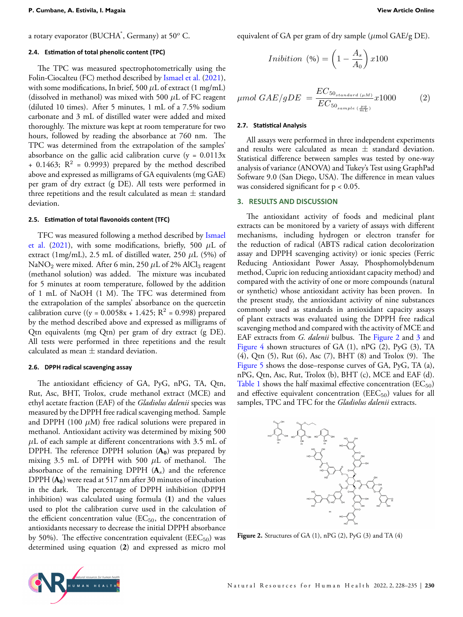a rotary evaporator (BUCHA® , Germany) at 50*<sup>o</sup>* C.

#### **2.4. EsƟmaƟon of total phenolic content (TPC)**

The TPC was measured spectrophotometrically using the Folin-Ciocalteu (FC) method described by [Ismael et al.](#page-6-17) [\(2021](#page-6-17)), with some modifications, In brief, 500  $\mu$ L of extract (1 mg/mL) (dissolved in methanol) was mixed with 500 *µ*L of FC reagent (diluted 10 times). After 5 minutes, 1 mL of a 7.5% sodium carbonate and 3 mL of distilled water were added and mixed thoroughly. The mixture was kept at room temperature for two hours, followed by reading the absorbance at 760 nm. The TPC was determined from the extrapolation of the samples' absorbance on the gallic acid calibration curve  $(y = 0.0113x)$ + 0.1463;  $R^2$  = 0.9993) prepared by the method described above and expressed as milligrams of GA equivalents (mg GAE) per gram of dry extract (g DE). All tests were performed in three repetitions and the result calculated as mean *±* standard deviation.

## **2.5. EsƟmaƟon of total flavonoids content (TFC)**

TFC was measured following a method described by [Ismael](#page-6-17) [et al.](#page-6-17) ([2021\)](#page-6-17), with some modifications, briefly, 500 *µ*L of extract (1mg/mL), 2.5 mL of distilled water, 250  $\mu$ L (5%) of NaNO<sub>2</sub> were mixed. After 6 min, 250  $\mu$ L of 2% AlCl<sub>3</sub> reagent (methanol solution) was added. The mixture was incubated for 5 minutes at room temperature, followed by the addition of 1 mL of NaOH (1 M). The TFC was determined from the extrapolation of the samples' absorbance on the quercetin calibration curve ((y =  $0.0058x + 1.425$ ; R<sup>2</sup> = 0.998) prepared by the method described above and expressed as milligrams of Qtn equivalents (mg Qtn) per gram of dry extract (g DE). All tests were performed in three repetitions and the result calculated as mean *±* standard deviation.

#### **2.6. DPPH radical scavenging assay**

The antioxidant efficiency of GA, PyG, nPG, TA, Qtn, Rut, Asc, BHT, Trolox, crude methanol extract (MCE) and ethyl acetate fraction (EAF) of the *Gladiolus dalenii* species was measured by the DPPH free radical scavenging method. Sample and DPPH (100 *µ*M) free radical solutions were prepared in methanol. Antioxidant activity was determined by mixing 500 *µ*L of each sample at different concentrations with 3.5 mL of DPPH. The reference DPPH solution (**A0**) was prepared by mixing 3.5 mL of DPPH with 500 *µ*L of methanol. The absorbance of the remaining DPPH (**A***s*) and the reference DPPH (**A0**) were read at 517 nm after 30 minutes of incubation in the dark. The percentage of DPPH inhibition (DPPH inhibition) was calculated using formula (**1**) and the values used to plot the calibration curve used in the calculation of the efficient concentration value  $(EC_{50}$ , the concentration of antioxidants necessary to decrease the initial DPPH absorbance by 50%). The effective concentration equivalent ( $EEC_{50}$ ) was determined using equation (**2**) and expressed as micro mol equivalent of GA per gram of dry sample (*µ*mol GAE/g DE).

$$
Inibition \ (\%) = \left(1 - \frac{A_s}{A_0}\right) x 100
$$

$$
\mu mol \; GAE/gDE \; = \frac{EC_{50_{standard} \; (\mu M)}}{EC_{50_{sample} \; (\frac{\mu g}{mL})}} x1000 \tag{2}
$$

#### **2.7. StaƟsƟcal Analysis**

All assays were performed in three independent experiments and results were calculated as mean *±* standard deviation. Statistical difference between samples was tested by one-way analysis of variance (ANOVA) and Tukey's Test using GraphPad Software 9.0 (San Diego, USA). The difference in mean values was considered significant for  $p < 0.05$ .

## **3. RESULTS AND DISCUSSION**

The antioxidant activity of foods and medicinal plant extracts can be monitored by a variety of assays with different mechanisms, including hydrogen or electron transfer for the reduction of radical (ABTS radical cation decolorization assay and DPPH scavenging activity) or ionic species (Ferric Reducing Antioxidant Power Assay, Phosphomolybdenum method, Cupric ion reducing antioxidant capacity method) and compared with the activity of one or more compounds (natural or synthetic) whose antioxidant activity has been proven. In the present study, the antioxidant activity of nine substances commonly used as standards in antioxidant capacity assays of plant extracts was evaluated using the DPPH free radical scavenging method and compared with the activity of MCE and EAF extracts from *G. dalenii* bulbus. The Figure [2](#page-2-0) and [3](#page-3-0) and Figure [4](#page-3-1) shown structures of GA (1), nPG (2), PyG (3), TA (4), Qtn (5), Rut (6), Asc (7), BHT (8) and Trolox (9). The Figure [5](#page-3-2) shows the dose–response curves of GA, PyG, TA (a), nPG, Qtn, Asc, Rut, Trolox (b), BHT (c), MCE and EAF (d). Table [1](#page-3-3) shows the half maximal effective concentration ( $EC_{50}$ ) and effective equivalent concentration  $(EEC<sub>50</sub>)$  values for all samples, TPC and TFC for the *Gladiolus dalenii* extracts.

<span id="page-2-0"></span>

**Figure 2.** Structures of GA (1), nPG (2), PyG (3) and TA (4)

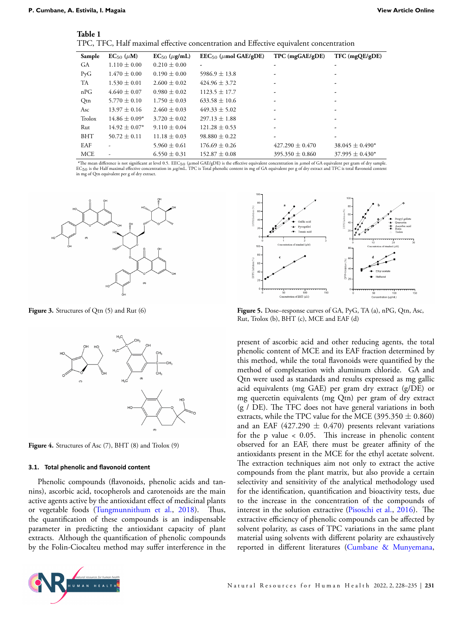<span id="page-3-3"></span>

| lable |  |  |
|-------|--|--|
|       |  |  |

TPC, TFC, Half maximal effective concentration and Effective equivalent concentration

| Sample           | $EC_{50}$ ( $\mu$ M) | $EC_{50}$ ( $\mu$ g/mL) | $\text{EEC}_{50}$ ( $\mu$ mol GAE/gDE) | $TPC$ (mg $GAE/gDE$ )    | TFC (mgQE/gDE)      |
|------------------|----------------------|-------------------------|----------------------------------------|--------------------------|---------------------|
| GA               | $1.110 \pm 0.00$     | $0.210 \pm 0.00$        | ٠                                      | ٠                        |                     |
| P <sub>y</sub> G | $1.470 \pm 0.00$     | $0.190 \pm 0.00$        | $5986.9 \pm 13.8$                      | $\overline{\phantom{0}}$ |                     |
| <b>TA</b>        | $1.530 \pm 0.01$     | $2.600 \pm 0.02$        | $424.96 \pm 3.72$                      |                          |                     |
| nPG              | $4.640 \pm 0.07$     | $0.980 \pm 0.02$        | $1123.5 \pm 17.7$                      | -                        |                     |
| Qtn              | $5.770 \pm 0.10$     | $1.750 \pm 0.03$        | $633.58 \pm 10.6$                      |                          |                     |
| Asc              | $13.97 \pm 0.16$     | $2.460 \pm 0.03$        | $449.33 \pm 5.02$                      | -                        |                     |
| Trolox           | $14.86 \pm 0.09*$    | $3.720 \pm 0.02$        | $297.13 \pm 1.88$                      | -                        |                     |
| Rut              | $14.92 \pm 0.07*$    | $9.110 \pm 0.04$        | $121.28 \pm 0.53$                      |                          |                     |
| <b>BHT</b>       | $50.72 \pm 0.11$     | $11.18 \pm 0.03$        | $98.880 \pm 0.22$                      | ٠                        |                     |
| EAF              |                      | $5.960 \pm 0.61$        | $176.69 \pm 0.26$                      | $427.290 \pm 0.470$      | $38.045 \pm 0.490*$ |
| <b>MCE</b>       |                      | $6.550 \pm 0.31$        | $152.87 \pm 0.08$                      | $395.350 \pm 0.860$      | $37.995 \pm 0.430*$ |

**\***The mean difference is not significant at level 0.5. EEC50 (*µ*mol GAE/gDE) is the effective equivalent concentration in *µ*mol of GA equivalent per gram of dry sample. EC<sub>50</sub> is the Half maximal effective concentration in *µg/mL*. TPC is Total phenolic content in mg of GA equivalent per g of dry extract and TFC is total flavonoid content in mg of Qtn equivalent per g of dry extract.

<span id="page-3-0"></span>

<span id="page-3-1"></span>**Figure 3.** Structures of Qtn (5) and Rut (6)



**Figure 4.** Structures of Asc (7), BHT (8) and Trolox (9)

#### **3.1. Total phenolic and flavonoid content**

Phenolic compounds (flavonoids, phenolic acids and tannins), ascorbic acid, tocopherols and carotenoids are the main active agents active by the antioxidant effect of medicinal plants or vegetable foods [\(Tungmunnithum et al.](#page-6-18), [2018](#page-6-18)). Thus, the quantification of these compounds is an indispensable parameter in predicting the antioxidant capacity of plant extracts. Although the quantification of phenolic compounds by the Folin-Ciocalteu method may suffer interference in the

<span id="page-3-2"></span>

**Figure 5.** Dose–response curves of GA, PyG, TA (a), nPG, Qtn, Asc, Rut, Trolox (b), BHT (c), MCE and EAF (d)

present of ascorbic acid and other reducing agents, the total phenolic content of MCE and its EAF fraction determined by this method, while the total flavonoids were quantified by the method of complexation with aluminum chloride. GA and Qtn were used as standards and results expressed as mg gallic acid equivalents (mg GAE) per gram dry extract (g/DE) or mg quercetin equivalents (mg Qtn) per gram of dry extract (g / DE). The TFC does not have general variations in both extracts, while the TPC value for the MCE (395.350 *±* 0.860) and an EAF  $(427.290 \pm 0.470)$  presents relevant variations for the p value < 0.05. This increase in phenolic content observed for an EAF, there must be greater affinity of the antioxidants present in the MCE for the ethyl acetate solvent. The extraction techniques aim not only to extract the active compounds from the plant matrix, but also provide a certain selectivity and sensitivity of the analytical methodology used for the identification, quantification and bioactivity tests, due to the increase in the concentration of the compounds of interest in the solution extractive([Pisoschi et al.](#page-6-19), [2016](#page-6-19)). The extractive efficiency of phenolic compounds can be affected by solvent polarity, as cases of TPC variations in the same plant material using solvents with different polarity are exhaustively reported in different literatures [\(Cumbane & Munyemana](#page-5-11),

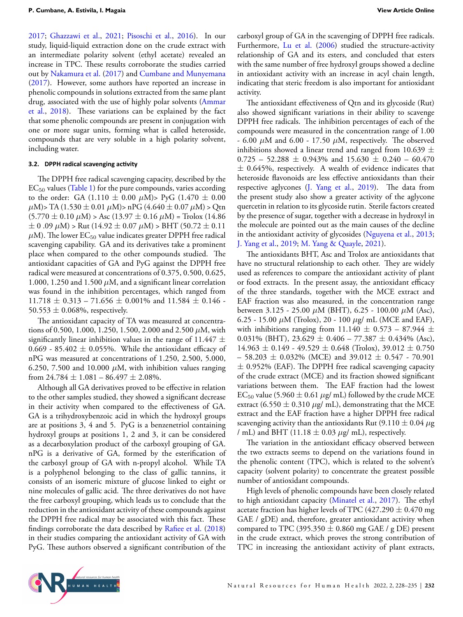[2017](#page-5-11); [Ghazzawi et al.,](#page-6-20) [2021](#page-6-20); [Pisoschi et al.](#page-6-19), [2016\)](#page-6-19). In our study, liquid-liquid extraction done on the crude extract with an intermediate polarity solvent (ethyl acetate) revealed an increase in TPC. These results corroborate the studies carried out by [Nakamura et al.](#page-6-21) [\(2017](#page-6-21)) and [Cumbane and Munyemana](#page-5-11) ([2017\)](#page-5-11). However, some authors have reported an increase in phenolic compounds in solutions extracted from the same plant drug, associated with the use of highly polar solvents([Ammar](#page-5-12) [et al.,](#page-5-12) [2018](#page-5-12)). These variations can be explained by the fact that some phenolic compounds are present in conjugation with one or more sugar units, forming what is called heteroside, compounds that are very soluble in a high polarity solvent, including water.

#### **3.2.** DPPH radical scavenging activity

The DPPH free radical scavenging capacity, described by the  $EC_{50}$  values (Table [1\)](#page-3-3) for the pure compounds, varies according to the order: GA (1.110  $\pm$  0.00  $\mu$ M)> PyG (1.470  $\pm$  0.00  $\mu$ M)> TA (1.530  $\pm$  0.01  $\mu$ M)> nPG (4.640  $\pm$  0.07  $\mu$ M) > Qtn  $(5.770 \pm 0.10 \,\mu M)$  > Asc  $(13.97 \pm 0.16 \,\mu M)$  = Trolox  $(14.86$ *±* 0 .09 *µ*M) > Rut (14.92 *±* 0.07 *µ*M) > BHT (50.72 *±* 0.11  $\mu$ M). The lower EC<sub>50</sub> value indicates greater DPPH free radical scavenging capability. GA and its derivatives take a prominent place when compared to the other compounds studied. The antioxidant capacities of GA and PyG against the DPPH free radical were measured at concentrations of 0.375, 0.500, 0.625, 1.000, 1.250 and 1.500  $\mu$ M, and a significant linear correlation was found in the inhibition percentages, which ranged from 11.718 *±* 0.313 – 71.656 *±* 0.001% and 11.584 *±* 0.146 - 50.553  $\pm$  0.068%, respectively.

The antioxidant capacity of TA was measured at concentrations of 0.500, 1.000, 1.250, 1.500, 2.000 and 2.500 *µ*M, with significantly linear inhibition values in the range of 11.447 *±* 0.669 - 85.402  $\pm$  0.055%. While the antioxidant efficacy of nPG was measured at concentrations of 1.250, 2.500, 5.000, 6.250, 7.500 and 10.000  $\mu$ M, with inhibition values ranging from  $24.784 \pm 1.081 - 86.497 \pm 2.08\%$ .

Although all GA derivatives proved to be effective in relation to the other samples studied, they showed a significant decrease in their activity when compared to the effectiveness of GA. GA is a trihydroxybenzoic acid in which the hydroxyl groups are at positions 3, 4 and 5. PyG is a benzenetriol containing hydroxyl groups at positions 1, 2 and 3, it can be considered as a decarboxylation product of the carboxyl grouping of GA. nPG is a derivative of GA, formed by the esterification of the carboxyl group of GA with n-propyl alcohol. While TA is a polyphenol belonging to the class of gallic tannins, it consists of an isomeric mixture of glucose linked to eight or nine molecules of gallic acid. The three derivatives do not have the free carboxyl grouping, which leads us to conclude that the reduction in the antioxidant activity of these compounds against the DPPH free radical may be associated with this fact. These findings corroborate the data described by [Rafiee et al.](#page-6-22) ([2018\)](#page-6-22) in their studies comparing the antioxidant activity of GA with PyG. These authors observed a significant contribution of the carboxyl group of GA in the scavenging of DPPH free radicals. Furthermore, [Lu et al.](#page-6-23) ([2006\)](#page-6-23) studied the structure-activity relationship of GA and its esters, and concluded that esters with the same number of free hydroxyl groups showed a decline in antioxidant activity with an increase in acyl chain length, indicating that steric freedom is also important for antioxidant activity.

The antioxidant effectiveness of Qtn and its glycoside (Rut) also showed significant variations in their ability to scavenge DPPH free radicals. The inhibition percentages of each of the compounds were measured in the concentration range of 1.00  $-6.00 \mu M$  and  $6.00 - 17.50 \mu M$ , respectively. The observed inhibitions showed a linear trend and ranged from 10.639 *±* 0.725 – 52.288 *±* 0.943% and 15.630 *±* 0.240 – 60.470 *±* 0.645%, respectively. A wealth of evidence indicates that heteroside flavonoids are less effective antioxidants than their respective aglycones [\(J. Yang et al.,](#page-6-24) [2019](#page-6-24)). The data from the present study also show a greater activity of the aglycone quercetin in relation to its glycoside rutin. Sterile factors created by the presence of sugar, together with a decrease in hydroxyl in the molecule are pointed out as the main causes of the decline in the antioxidant activity of glycosides([Nguyena et al.,](#page-6-25) [2013](#page-6-25); [J. Yang et al.,](#page-6-24) [2019;](#page-6-24) [M. Yang & Quayle](#page-6-1), [2021\)](#page-6-1).

The antioxidants BHT, Asc and Trolox are antioxidants that have no structural relationship to each other. They are widely used as references to compare the antioxidant activity of plant or food extracts. In the present assay, the antioxidant efficacy of the three standards, together with the MCE extract and EAF fraction was also measured, in the concentration range between 3.125 - 25.00 *µ*M (BHT), 6.25 - 100.00 *µ*M (Asc), 6.25 - 15.00 *µ*M (Trolox), 20 - 100 *µ*g/ mL (MCE and EAF), with inhibitions ranging from  $11.140 \pm 0.573 - 87.944 \pm 1.140$ 0.031% (BHT), 23.629 *±* 0.406 – 77.387 *±* 0.434% (Asc), 14.963 *±* 0.149 - 49.529 *±* 0.648 (Trolox), 39.012 *±* 0.750 – 58.203 *±* 0.032% (MCE) and 39.012 *±* 0.547 - 70.901 *±* 0.952% (EAF). The DPPH free radical scavenging capacity of the crude extract (MCE) and its fraction showed significant variations between them. The EAF fraction had the lowest EC<sub>50</sub> value (5.960  $\pm$  0.61  $\mu$ g/ mL) followed by the crude MCE extract (6.550  $\pm$  0.310  $\mu$ g/ mL), demonstrating that the MCE extract and the EAF fraction have a higher DPPH free radical scavenging activity than the antioxidants Rut  $(9.110 \pm 0.04 \,\mu g)$ / mL) and BHT (11.18  $\pm$  0.03  $\mu$ g/ mL), respectively.

The variation in the antioxidant efficacy observed between the two extracts seems to depend on the variations found in the phenolic content (TPC), which is related to the solvent's capacity (solvent polarity) to concentrate the greatest possible number of antioxidant compounds.

High levels of phenolic compounds have been closely related to high antioxidant capacity([Minatel et al.](#page-6-10), [2017\)](#page-6-10). The ethyl acetate fraction has higher levels of TPC (427.290 *±* 0.470 mg GAE / gDE) and, therefore, greater antioxidant activity when compared to TPC (395.350  $\pm$  0.860 mg GAE / g DE) present in the crude extract, which proves the strong contribution of TPC in increasing the antioxidant activity of plant extracts,

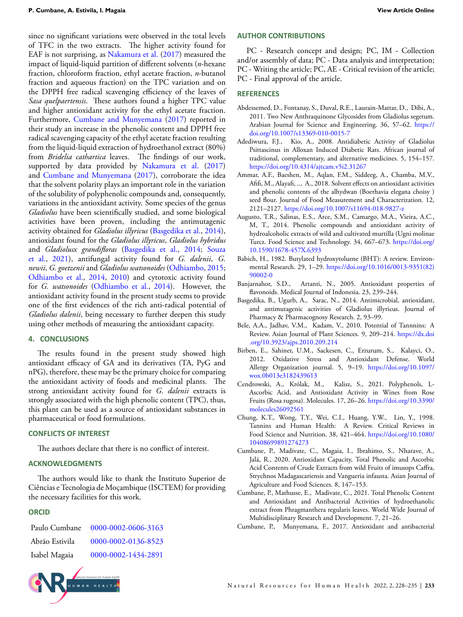since no significant variations were observed in the total levels of TFC in the two extracts. The higher activity found for EAF is not surprising, as [Nakamura et al.](#page-6-21) ([2017](#page-6-21)) measured the impact of liquid-liquid partition of different solvents (*n*-hexane fraction, chloroform fraction, ethyl acetate fraction, *n*-butanol fraction and aqueous fraction) on the TPC variation and on the DPPH free radical scavenging efficiency of the leaves of *Sasa quelpaertensis*. These authors found a higher TPC value and higher antioxidant activity for the ethyl acetate fraction. Furthermore, [Cumbane and Munyemana](#page-5-11) ([2017\)](#page-5-11) reported in their study an increase in the phenolic content and DPPH free radical scavenging capacity of the ethyl acetate fraction resulting from the liquid-liquid extraction of hydroethanol extract (80%) from *Bridelia cathartica* leaves. The findings of our work, supported by data provided by [Nakamura et al.](#page-6-21) ([2017\)](#page-6-21) and [Cumbane and Munyemana](#page-5-11) ([2017\)](#page-5-11), corroborate the idea that the solvent polarity plays an important role in the variation of the solubility of polyphenolic compounds and, consequently, variations in the antioxidant activity. Some species of the genus *Gladiolus* have been scientifically studied, and some biological activities have been proven, including the antimutagenic activity obtained for *Gladiolus illyricus* [\(Basgedika et al.](#page-5-13), [2014](#page-5-13)), antioxidant found for the *Gladiolus illyricus*, *Gladiolus hybridus* and *Gladiolusx grandifloras* ([Basgedika et al.](#page-5-13), [2014](#page-5-13); [Souza](#page-6-26) [et al.,](#page-6-26) [2021](#page-6-26)), antifungal activity found for *G. dalenii*, *G. newii*, *G. goetzenii* and *Gladiolus watsonoides* ([Odhiambo](#page-6-27), [2015;](#page-6-27) [Odhiambo et al.,](#page-6-28) [2014](#page-6-28), [2010](#page-6-29)) and cytotoxic activity found for *G. watsonoides* ([Odhiambo et al.,](#page-6-28) [2014\)](#page-6-28). However, the antioxidant activity found in the present study seems to provide one of the first evidences of the rich anti-radical potential of *Gladiolus dalenii*, being necessary to further deepen this study using other methods of measuring the antioxidant capacity.

## **4. CONCLUSIONS**

The results found in the present study showed high antioxidant efficacy of GA and its derivatives (TA, PyG and nPG), therefore, these may be the primary choice for comparing the antioxidant activity of foods and medicinal plants. The strong antioxidant activity found for *G. dalenii* extracts is strongly associated with the high phenolic content (TPC), thus, this plant can be used as a source of antioxidant substances in pharmaceutical or food formulations.

#### **CONFLICTS OF INTEREST**

The authors declare that there is no conflict of interest.

## **ACKNOWLEDGMENTS**

The authors would like to thank the Instituto Superior de Ciências e Tecnologia de Moçambique (ISCTEM) for providing the necessary facilities for this work.

## **ORCID**

| Paulo Cumbane  | 0000-0002-0606-3163 |
|----------------|---------------------|
| Abrão Estivila | 0000-0002-0136-8523 |
| Isabel Magaia  | 0000-0002-1434-2891 |



#### **AUTHOR CONTRIBUTIONS**

PC - Research concept and design; PC, IM - Collection and/or assembly of data; PC - Data analysis and interpretation; PC - Writing the article; PC, AE - Critical revision of the article; PC - Final approval of the article.

#### **REFERENCES**

- <span id="page-5-10"></span>Abdessemed, D., Fontanay, S., Duval, R.E., Laurain-Mattar, D., Dibi, A., 2011. Two New Anthraquinone Glycosides from Gladiolus segetum. Arabian Journal for Science and Engineering. 36, 57–62. [https://](https://doi.org/10.1007/s13369-010-0015-7) [doi.org/10.1007/s13369-010-0015-7](https://doi.org/10.1007/s13369-010-0015-7)
- <span id="page-5-9"></span>Adediwura, F.J., Kio, A., 2008. Antidiabetic Activity of Gladiolus Psittascinus in Alloxan Induced Diabetic Rats. African journal of traditional, complementary, and alternative medicines. 5, 154–157. <https://doi.org/10.4314/ajtcam.v5i2.31267>
- <span id="page-5-12"></span>Ammar, A.F., Baeshen, M., Aqlan, F.M., Siddeeg, A., Chamba, M.V., Afifi, M., Alayafi, .., A., 2018. Solvent effects on antioxidant activities and phenolic contents of the alhydwan (Boerhavia elegana choisy ) seed flour. Journal of Food Measurement and Characterization. 12, 2121–2127. <https://doi.org/10.1007/s11694-018-9827-z>
- <span id="page-5-1"></span>Augusto, T.R., Salinas, E.S., Arce, S.M., Camargo, M.A., Vieira, A.C., M, T., 2014. Phenolic compounds and antioxidant activity of hydroalcoholic extracts of wild and cultivated murtilla (Ugni molinae Turcz. Food Science and Technology. 34, 667–673. [https://doi.org/](https://doi.org/10.1590/1678-457X.6393) [10.1590/1678-457X.6393](https://doi.org/10.1590/1678-457X.6393)
- <span id="page-5-8"></span>Babich, H., 1982. Butylated hydroxytoluene (BHT): A review. Environmental Research. 29, 1–29. [https://doi.org/10.1016/0013-9351\(82\)](https://doi.org/10.1016/0013-9351(82)90002-0) [90002-0](https://doi.org/10.1016/0013-9351(82)90002-0)
- <span id="page-5-2"></span>Banjarnahor, S.D., Artanti, N., 2005. Antioxidant properties of flavonoids. Medical Journal of Indonesia. 23, 239–244.
- <span id="page-5-13"></span>Basgedika, B., Ugurb, A., Sarac, N., 2014. Antimicrobial, antioxidant, and antimutagenic activities of Gladiolus illyricus. Journal of Pharmacy & Pharmacognosy Research. 2, 93–99.
- <span id="page-5-6"></span>Bele, A.A., Jadhav, V.M., Kadam, V., 2010. Potential of Tannnins: A Review. Asian Journal of Plant Sciences. 9, 209–214. [https://dx.doi](https://dx.doi.org/10.3923/ajps.2010.209.214) [.org/10.3923/ajps.2010.209.214](https://dx.doi.org/10.3923/ajps.2010.209.214)
- <span id="page-5-0"></span>Birben, E., Sahiner, U.M., Sackesen, C., Erzurum, S., Kalayci, O., 2012. Oxidative Stress and Antioxidant Defense. World Allergy Organization journal. 5, 9–19. [https://doi.org/10.1097/](https://doi.org/10.1097/wox.0b013e3182439613) [wox.0b013e3182439613](https://doi.org/10.1097/wox.0b013e3182439613)
- <span id="page-5-3"></span>Cendrowski, A., Królak, M., Kalisz, S., 2021. Polyphenols, L-Ascorbic Acid, and Antioxidant Activity in Wines from Rose Fruits (Rosa rugosa). Molecules. 17, 26–26. [https://doi.org/10.3390/](https://doi.org/10.3390/molecules26092561) [molecules26092561](https://doi.org/10.3390/molecules26092561)
- <span id="page-5-7"></span>Chung, K.T., Wong, T.Y., Wei, C.I., Huang, Y.W., Lin, Y., 1998. Tannins and Human Health: A Review. Critical Reviews in Food Science and Nutrition. 38, 421–464. [https://doi.org/10.1080/](https://doi.org/10.1080/10408699891274273) [10408699891274273](https://doi.org/10.1080/10408699891274273)
- <span id="page-5-4"></span>Cumbane, P., Madivate, C., Magaia, I., Ibrahimo, S., Nharave, A., Jalá, R., 2020. Antioxidant Capacity, Total Phenolic and Ascorbic Acid Contents of Crude Extracts from wild Fruits of imusops Caffra, Strychnos Madagascariensis and Vangueria infausta. Asian Journal of Agriculture and Food Sciences. 8, 147–153.
- <span id="page-5-5"></span>Cumbane, P., Mathusse, E., Madivate, C., 2021. Total Phenolic Content and Antioxidant and Antibacterial Activities of hydroethanolic extract from Phragmanthera regularis leaves. World Wide Journal of Multidisciplinary Research and Development. 7, 21–26.
- <span id="page-5-11"></span>Cumbane, P., Munyemana, F., 2017. Antioxidant and antibacterial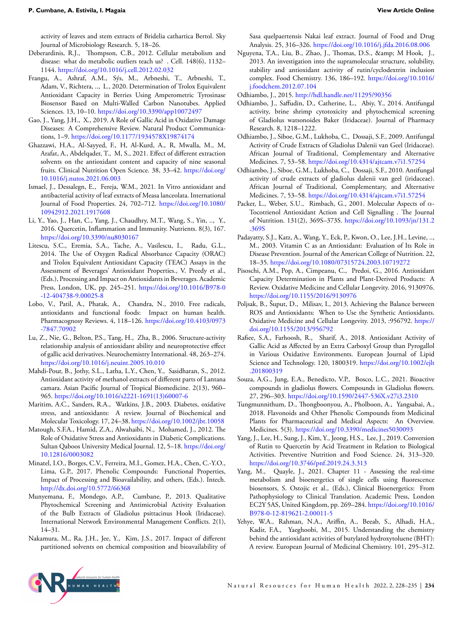activity of leaves and stem extracts of Bridelia cathartica Bertol. Sky Journal of Microbiology Research. 5, 18–26.

- <span id="page-6-0"></span>Deberardinis, R.J., Thompson, C.B., 2012. Cellular metabolism and disease: what do metabolic outliers teach us? . Cell. 148(6), 1132– 1144. <https://doi.org/10.1016/j.cell.2012.02.032>
- <span id="page-6-13"></span>Frangu, A., Ashraf, A.M., Sýs, M., Arbneshi, T., Arbneshi, T., Adam, V., Richtera, .., L., 2020. Determination of Trolox Equivalent Antioxidant Capacity in Berries Using Amperometric Tyrosinase Biosensor Based on Multi-Walled Carbon Nanotubes. Applied Sciences. 13, 10–10. <https://doi.org/10.3390/app10072497>
- <span id="page-6-7"></span>Gao, J., Yang, J.H., X., 2019. A Role of Gallic Acid in Oxidative Damage Diseases: A Comprehensive Review. Natural Product Communications, 1–9. <https://doi.org/10.1177/1934578X19874174>
- <span id="page-6-20"></span>Ghazzawi, H.A., Al-Sayyed, F., H, Al-Kurd, A., R, Mwalla, M., M, Arafat, A., Abdelqader, T., M, S., 2021. Effect of different extraction solvents on the antioxidant content and capacity of nine seasonal fruits. Clinical Nutrition Open Science. 38, 33–42. [https://doi.org/](https://doi.org/10.1016/j.nutos.2021.06.003) [10.1016/j.nutos.2021.06.003](https://doi.org/10.1016/j.nutos.2021.06.003)
- <span id="page-6-17"></span>Ismael, J., Dessalegn, E., Fereja, W.M., 2021. In Vitro antioxidant and antibacterial activity of leaf extracts of Measa lanceolata. International Journal of Food Properties. 24, 702–712. [https://doi.org/10.1080/](https://doi.org/10.1080/10942912.2021.1917608) [10942912.2021.1917608](https://doi.org/10.1080/10942912.2021.1917608)
- <span id="page-6-11"></span>Li, Y., Yao, J., Han, C., Yang, J., Chaudhry, M.T., Wang, S., Yin, .., Y., 2016. Quercetin, Inflammation and Immunity. Nutrients. 8(3), 167. <https://doi.org/10.3390/nu8030167>
- <span id="page-6-14"></span>Litescu, S.C., Eremia, S.A., Tache, A., Vasilescu, I., Radu, G.L., 2014. The Use of Oxygen Radical Absorbance Capacity (ORAC) and Trolox Equivalent Antioxidant Capacity (TEAC) Assays in the Assessment of Beverages' Antioxidant Properties., V. Preedy et al., (Eds.), Processing and Impact on Antioxidants in Beverages. Academic Press, London, UK, pp. 245–251. [https://doi.org/10.1016/B978-0](https://doi.org/10.1016/B978-0-12-404738-9.00025-8) [-12-404738-9.00025-8](https://doi.org/10.1016/B978-0-12-404738-9.00025-8)
- <span id="page-6-2"></span>Lobo, V., Patil, A., Phatak, A., Chandra, N., 2010. Free radicals, antioxidants and functional foods: Impact on human health. Pharmacognosy Reviews. 4, 118–126. [https://doi.org/10.4103/0973](https://doi.org/10.4103/0973-7847.70902) [-7847.70902](https://doi.org/10.4103/0973-7847.70902)
- <span id="page-6-23"></span>Lu, Z., Nie, G., Belton, P.S., Tang, H., Zha, B., 2006. Structure-activity relationship analysis of antioxidant ability and neuroprotective effect of gallic acid derivatives. Neurochemistry International. 48, 263–274. <https://doi.org/10.1016/j.neuint.2005.10.010>
- <span id="page-6-4"></span>Mahdi-Pour, B., Jothy, S.L., Latha, L.Y., Chen, Y., Sasidharan, S., 2012. Antioxidant activity of methanol extracts of different parts of Lantana camara. Asian Pacific Journal of Tropical Biomedicine. 2(13), 960– 965. [https://doi.org/10.1016/s2221-1691\(13\)60007-6](https://doi.org/10.1016/s2221-1691(13)60007-6)
- <span id="page-6-5"></span>Maritim, A.C., Sanders, R.A., Watkins, J.B., 2003. Diabetes, oxidative stress, and antioxidants: A review. Journal of Biochemical and Molecular Toxicology. 17, 24–38. <https://doi.org/10.1002/jbt.10058>
- <span id="page-6-6"></span>Matough, S.F.A., Hamid, Z.A., Alwahaibi, N., Mohamed, J., 2012. The Role of Oxidative Stress and Antioxidants in Diabetic Complications. Sultan Qaboos University Medical Journal. 12, 5–18. [https://doi.org/](https://doi.org/10.12816/0003082) [10.12816/0003082](https://doi.org/10.12816/0003082)
- <span id="page-6-10"></span>Minatel, I.O., Borges, C.V., Ferreira, M.I., Gomez, H.A., Chen, C.-Y.O., Lima, G.P., 2017. Phenolic Compounds: Functional Properties, Impact of Processing and Bioavailability, and others, (Eds.). Intech. <http://dx.doi.org/10.5772/66368>
- <span id="page-6-15"></span>Munyemana, F., Mondego, A.P., Cumbane, P., 2013. Qualitative Phytochemical Screening and Antimicrobial Activity Evaluation of the Bulb Extracts of Gladiolus psittacinus Hook (Iridaceae). International Network Environmental Management Conflicts. 2(1), 14–31.
- <span id="page-6-21"></span>Nakamura, M., Ra, J.H., Jee, Y., Kim, J.S., 2017. Impact of different partitioned solvents on chemical composition and bioavailability of

Sasa quelpaertensis Nakai leaf extract. Journal of Food and Drug Analysis. 25, 316–326. <https://doi.org/10.1016/j.jfda.2016.08.006>

<span id="page-6-25"></span>Nguyena, T.A., Liu, B., Zhao, J., Thomas, D.S., & amp; M Hook, J., 2013. An investigation into the supramolecular structure, solubility, stability and antioxidant activity of rutin/cyclodextrin inclusion complex. Food Chemistry. 136, 186–192. [https://doi.org/10.1016/](https://doi.org/10.1016/j.foodchem.2012.07.104) [j.foodchem.2012.07.104](https://doi.org/10.1016/j.foodchem.2012.07.104)

<span id="page-6-27"></span>Odhiambo, J., 2015. <http://hdl.handle.net/11295/90356>

- <span id="page-6-28"></span>Odhiambo, J., Saffudin, D., Catherine, L., Abiy, Y., 2014. Antifungal activity, brine shrimp cytotoxicity and phytochemical screening of Gladiolus watsonoides Baker (Iridaceae). Journal of Pharmacy Research. 8, 1218–1222.
- <span id="page-6-16"></span>Odhiambo, J., Siboe, G.M., Lukhoba, C., Dossaji, S.F., 2009. Antifungal Activity of Crude Extracts of Gladiolus Dalenii van Geel (Iridaceae). African Journal of Traditional, Complementary and Alternative Medicines. 7, 53–58. <https://doi.org/10.4314/ajtcam.v7i1.57254>
- <span id="page-6-29"></span>Odhiambo, J., Siboe, G.M., Lukhoba, C., Dossaji, S.F., 2010. Antifungal activity of crude extracts of gladiolus dalenii van geel (iridaceae). African Journal of Traditional, Complementary, and Alternative Medicines. 7, 53–58. <https://doi.org/10.4314/ajtcam.v7i1.57254>
- <span id="page-6-8"></span>Packer, L., Weber, S.U., Rimbach, G., 2001. Molecular Aspects of *α*-Tocotrienol Antioxidant Action and Cell Signalling . The Journal of Nutrition. 131(2), 369S–373S. [https://doi.org/10.1093/jn/131.2](https://doi.org/10.1093/jn/131.2.369S) [.369S](https://doi.org/10.1093/jn/131.2.369S)
- <span id="page-6-9"></span>Padayatty, S.J., Katz, A., Wang, Y., Eck, P., Kwon, O., Lee, J.H., Levine, .., M., 2003. Vitamin C as an Antioxidant: Evaluation of Its Role in Disease Prevention. Journal of the American College of Nutrition. 22, 18–35. <https://doi.org/10.1080/07315724.2003.10719272>
- <span id="page-6-19"></span>Pisoschi, A.M., Pop, A., Cimpeanu, C., Predoi, G., 2016. Antioxidant Capacity Determination in Plants and Plant-Derived Products: A Review. Oxidative Medicine and Cellular Longevity. 2016, 9130976. <https://doi.org/10.1155/2016/9130976>
- <span id="page-6-3"></span>Poljsak, B., Šuput, D., Milisav, I., 2013. Achieving the Balance between ROS and Antioxidants: When to Use the Synthetic Antioxidants. Oxidative Medicine and Cellular Longevity. 2013, :956792. [https://](https://doi.org/10.1155/2013/956792) [doi.org/10.1155/2013/956792](https://doi.org/10.1155/2013/956792)
- <span id="page-6-22"></span>Rafiee, S.A., Farhoosh, R., Sharif, A., 2018. Antioxidant Activity of Gallic Acid as Affected by an Extra Carboxyl Group than Pyrogallol in Various Oxidative Environments. European Journal of Lipid Science and Technology. 120, 1800319. [https://doi.org/10.1002/ejlt](https://doi.org/10.1002/ejlt.201800319) [.201800319](https://doi.org/10.1002/ejlt.201800319)
- <span id="page-6-26"></span>Souza, A.G., Jung, E.A., Benedicto, V.P., Bosco, L.C., 2021. Bioactive compounds in gladiolus flowers. Compounds in Gladiolus flowers. 27, 296–303. <https://doi.org/10.1590/2447-536X.v27i3.2310>
- <span id="page-6-18"></span>Tungmunnithum, D., Thongboonyou, A., Pholboon, A., Yangsabai, A., 2018. Flavonoids and Other Phenolic Compounds from Medicinal Plants for Pharmaceutical and Medical Aspects: An Overview. Medicines. 5(3). <https://doi.org/10.3390/medicines5030093>
- <span id="page-6-24"></span>Yang, J., Lee, H., Sung, J., Kim, Y., Jeong, H.S., Lee, J., 2019. Conversion of Rutin to Quercetin by Acid Treatment in Relation to Biological Activities. Preventive Nutrition and Food Science. 24, 313–320. <https://doi.org/10.3746/pnf.2019.24.3.313>
- <span id="page-6-1"></span>Yang, M., Quayle, J., 2021. Chapter 11 - Assessing the real-time metabolism and bioenergetics of single cells using fluorescence biosensors, S. Ostojic et al., (Eds.), Clinical Bioenergetics: From Pathophysiology to Clinical Translation. Academic Press, London EC2Y 5AS, United Kingdom, pp. 269–284. [https://doi.org/10.1016/](https://doi.org/10.1016/B978-0-12-819621-2.00011-5) [B978-0-12-819621-2.00011-5](https://doi.org/10.1016/B978-0-12-819621-2.00011-5)
- <span id="page-6-12"></span>Yehye, W.A., Rahman, N.A., Ariffin, A., Beeab, S., Alhadi, H.A., Kadir, F.A., Yaeghoobi, M., 2015. Understanding the chemistry behind the antioxidant activities of butylated hydroxytoluene (BHT): A review. European Journal of Medicinal Chemistry. 101, 295–312.